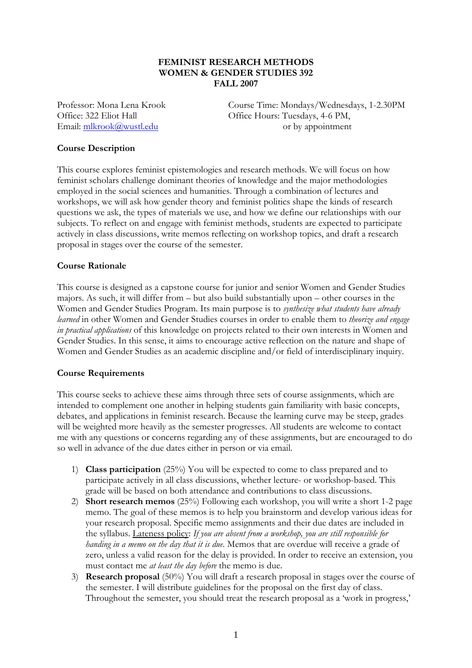## **FEMINIST RESEARCH METHODS WOMEN & GENDER STUDIES 392 FALL 2007**

Professor: Mona Lena Krook Course Time: Mondays/Wednesdays, 1-2.30PM Office: 322 Eliot Hall Office Hours: Tuesdays, 4-6 PM, Email:  $\frac{m\text{krook}(\hat{a})wustledu}{m\text{krook}(\hat{a})wustledu}$  or by appointment

#### **Course Description**

This course explores feminist epistemologies and research methods. We will focus on how feminist scholars challenge dominant theories of knowledge and the major methodologies employed in the social sciences and humanities. Through a combination of lectures and workshops, we will ask how gender theory and feminist politics shape the kinds of research questions we ask, the types of materials we use, and how we define our relationships with our subjects. To reflect on and engage with feminist methods, students are expected to participate actively in class discussions, write memos reflecting on workshop topics, and draft a research proposal in stages over the course of the semester.

#### **Course Rationale**

This course is designed as a capstone course for junior and senior Women and Gender Studies majors. As such, it will differ from – but also build substantially upon – other courses in the Women and Gender Studies Program. Its main purpose is to *synthesize what students have already learned* in other Women and Gender Studies courses in order to enable them to *theorize and engage in practical applications* of this knowledge on projects related to their own interests in Women and Gender Studies. In this sense, it aims to encourage active reflection on the nature and shape of Women and Gender Studies as an academic discipline and/or field of interdisciplinary inquiry.

#### **Course Requirements**

This course seeks to achieve these aims through three sets of course assignments, which are intended to complement one another in helping students gain familiarity with basic concepts, debates, and applications in feminist research. Because the learning curve may be steep, grades will be weighted more heavily as the semester progresses. All students are welcome to contact me with any questions or concerns regarding any of these assignments, but are encouraged to do so well in advance of the due dates either in person or via email.

- 1) **Class participation** (25%) You will be expected to come to class prepared and to participate actively in all class discussions, whether lecture- or workshop-based. This grade will be based on both attendance and contributions to class discussions.
- 2) **Short research memos** (25%) Following each workshop, you will write a short 1-2 page memo. The goal of these memos is to help you brainstorm and develop various ideas for your research proposal. Specific memo assignments and their due dates are included in the syllabus. Lateness policy: *If you are absent from a workshop, you are still responsible for handing in a memo on the day that it is due*. Memos that are overdue will receive a grade of zero, unless a valid reason for the delay is provided. In order to receive an extension, you must contact me *at least the day before* the memo is due.
- 3) **Research proposal** (50%) You will draft a research proposal in stages over the course of the semester. I will distribute guidelines for the proposal on the first day of class. Throughout the semester, you should treat the research proposal as a 'work in progress,'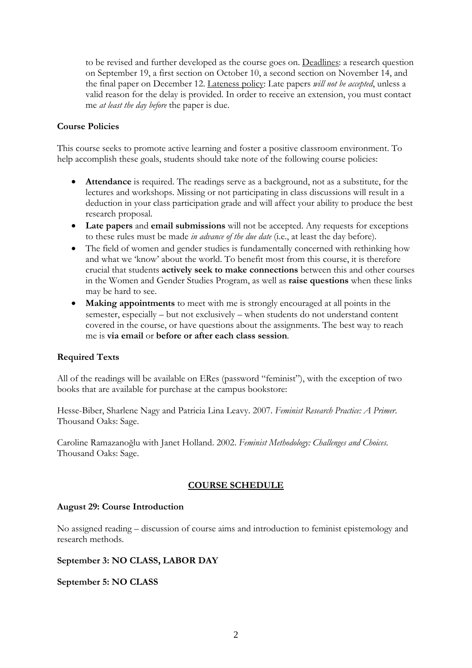to be revised and further developed as the course goes on. Deadlines: a research question on September 19, a first section on October 10, a second section on November 14, and the final paper on December 12. Lateness policy: Late papers *will not be accepted*, unless a valid reason for the delay is provided. In order to receive an extension, you must contact me *at least the day before* the paper is due.

### **Course Policies**

This course seeks to promote active learning and foster a positive classroom environment. To help accomplish these goals, students should take note of the following course policies:

- **Attendance** is required. The readings serve as a background, not as a substitute, for the lectures and workshops. Missing or not participating in class discussions will result in a deduction in your class participation grade and will affect your ability to produce the best research proposal.
- **Late papers** and **email submissions** will not be accepted. Any requests for exceptions to these rules must be made *in advance of the due date* (i.e., at least the day before).
- The field of women and gender studies is fundamentally concerned with rethinking how and what we 'know' about the world. To benefit most from this course, it is therefore crucial that students **actively seek to make connections** between this and other courses in the Women and Gender Studies Program, as well as **raise questions** when these links may be hard to see.
- **Making appointments** to meet with me is strongly encouraged at all points in the semester, especially – but not exclusively – when students do not understand content covered in the course, or have questions about the assignments. The best way to reach me is **via email** or **before or after each class session**.

# **Required Texts**

All of the readings will be available on ERes (password "feminist"), with the exception of two books that are available for purchase at the campus bookstore:

Hesse-Biber, Sharlene Nagy and Patricia Lina Leavy. 2007. *Feminist Research Practice: A Primer*. Thousand Oaks: Sage.

Caroline Ramazanoğlu with Janet Holland. 2002. *Feminist Methodology: Challenges and Choices*. Thousand Oaks: Sage.

# **COURSE SCHEDULE**

#### **August 29: Course Introduction**

No assigned reading – discussion of course aims and introduction to feminist epistemology and research methods.

#### **September 3: NO CLASS, LABOR DAY**

#### **September 5: NO CLASS**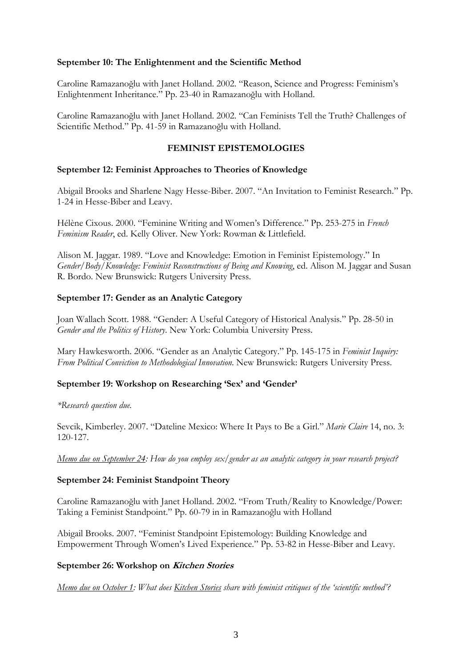#### **September 10: The Enlightenment and the Scientific Method**

Caroline Ramazanoğlu with Janet Holland. 2002. "Reason, Science and Progress: Feminism's Enlightenment Inheritance." Pp. 23-40 in Ramazanoğlu with Holland.

Caroline Ramazanoğlu with Janet Holland. 2002. "Can Feminists Tell the Truth? Challenges of Scientific Method." Pp. 41-59 in Ramazanoğlu with Holland.

### **FEMINIST EPISTEMOLOGIES**

#### **September 12: Feminist Approaches to Theories of Knowledge**

Abigail Brooks and Sharlene Nagy Hesse-Biber. 2007. "An Invitation to Feminist Research." Pp. 1-24 in Hesse-Biber and Leavy.

Hélène Cixous. 2000. "Feminine Writing and Women's Difference." Pp. 253-275 in *French Feminism Reader*, ed. Kelly Oliver. New York: Rowman & Littlefield.

Alison M. Jaggar. 1989. "Love and Knowledge: Emotion in Feminist Epistemology." In *Gender/Body/Knowledge: Feminist Reconstructions of Being and Knowing*, ed. Alison M. Jaggar and Susan R. Bordo. New Brunswick: Rutgers University Press.

#### **September 17: Gender as an Analytic Category**

Joan Wallach Scott. 1988. "Gender: A Useful Category of Historical Analysis." Pp. 28-50 in *Gender and the Politics of History*. New York: Columbia University Press.

Mary Hawkesworth. 2006. "Gender as an Analytic Category." Pp. 145-175 in *Feminist Inquiry: From Political Conviction to Methodological Innovation*. New Brunswick: Rutgers University Press.

#### **September 19: Workshop on Researching 'Sex' and 'Gender'**

*\*Research question due.* 

Sevcik, Kimberley. 2007. "Dateline Mexico: Where It Pays to Be a Girl." *Marie Claire* 14, no. 3: 120-127.

*Memo due on September 24: How do you employ sex/gender as an analytic category in your research project?* 

#### **September 24: Feminist Standpoint Theory**

Caroline Ramazanoğlu with Janet Holland. 2002. "From Truth/Reality to Knowledge/Power: Taking a Feminist Standpoint." Pp. 60-79 in in Ramazanoğlu with Holland

Abigail Brooks. 2007. "Feminist Standpoint Epistemology: Building Knowledge and Empowerment Through Women's Lived Experience." Pp. 53-82 in Hesse-Biber and Leavy.

#### **September 26: Workshop on Kitchen Stories**

*Memo due on October 1: What does Kitchen Stories share with feminist critiques of the 'scientific method'?*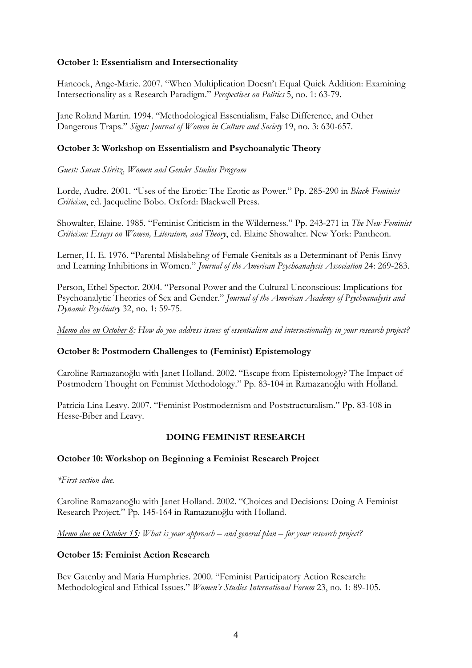### **October 1: Essentialism and Intersectionality**

Hancock, Ange-Marie. 2007. "When Multiplication Doesn't Equal Quick Addition: Examining Intersectionality as a Research Paradigm." *Perspectives on Politics* 5, no. 1: 63-79.

Jane Roland Martin. 1994. "Methodological Essentialism, False Difference, and Other Dangerous Traps." *Signs: Journal of Women in Culture and Society* 19, no. 3: 630-657.

## **October 3: Workshop on Essentialism and Psychoanalytic Theory**

*Guest: Susan Stiritz, Women and Gender Studies Program* 

Lorde, Audre. 2001. "Uses of the Erotic: The Erotic as Power." Pp. 285-290 in *Black Feminist Criticism*, ed. Jacqueline Bobo. Oxford: Blackwell Press.

Showalter, Elaine. 1985. "Feminist Criticism in the Wilderness." Pp. 243-271 in *The New Feminist Criticism: Essays on Women, Literature, and Theory*, ed. Elaine Showalter. New York: Pantheon.

Lerner, H. E. 1976. "Parental Mislabeling of Female Genitals as a Determinant of Penis Envy and Learning Inhibitions in Women." *Journal of the American Psychoanalysis Association* 24: 269-283.

Person, Ethel Spector. 2004. "Personal Power and the Cultural Unconscious: Implications for Psychoanalytic Theories of Sex and Gender." *Journal of the American Academy of Psychoanalysis and Dynamic Psychiatry* 32, no. 1: 59-75.

*Memo due on October 8: How do you address issues of essentialism and intersectionality in your research project?*

#### **October 8: Postmodern Challenges to (Feminist) Epistemology**

Caroline Ramazanoğlu with Janet Holland. 2002. "Escape from Epistemology? The Impact of Postmodern Thought on Feminist Methodology." Pp. 83-104 in Ramazanoğlu with Holland.

Patricia Lina Leavy. 2007. "Feminist Postmodernism and Poststructuralism." Pp. 83-108 in Hesse-Biber and Leavy.

#### **DOING FEMINIST RESEARCH**

#### **October 10: Workshop on Beginning a Feminist Research Project**

*\*First section due.* 

Caroline Ramazanoğlu with Janet Holland. 2002. "Choices and Decisions: Doing A Feminist Research Project." Pp. 145-164 in Ramazanoğlu with Holland.

*Memo due on October 15: What is your approach – and general plan – for your research project?* 

#### **October 15: Feminist Action Research**

Bev Gatenby and Maria Humphries. 2000. "Feminist Participatory Action Research: Methodological and Ethical Issues." *Women's Studies International Forum* 23, no. 1: 89-105.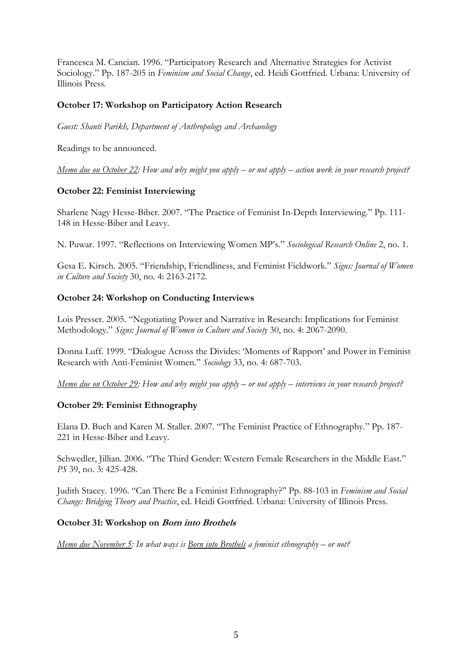Francesca M. Cancian. 1996. "Participatory Research and Alternative Strategies for Activist Sociology." Pp. 187-205 in *Feminism and Social Change*, ed. Heidi Gottfried. Urbana: University of Illinois Press.

### **October 17: Workshop on Participatory Action Research**

*Guest: Shanti Parikh, Department of Anthropology and Archaeology*

Readings to be announced.

*Memo due on October 22: How and why might you apply – or not apply – action work in your research project?*

## **October 22: Feminist Interviewing**

Sharlene Nagy Hesse-Biber. 2007. "The Practice of Feminist In-Depth Interviewing." Pp. 111- 148 in Hesse-Biber and Leavy.

N. Puwar. 1997. "Reflections on Interviewing Women MP's." *Sociological Research Online* 2, no. 1.

Gesa E. Kirsch. 2005. "Friendship, Friendliness, and Feminist Fieldwork." *Signs: Journal of Women in Culture and Society* 30, no. 4: 2163-2172.

## **October 24: Workshop on Conducting Interviews**

Lois Presser. 2005. "Negotiating Power and Narrative in Research: Implications for Feminist Methodology." *Signs: Journal of Women in Culture and Society* 30, no. 4: 2067-2090.

Donna Luff. 1999. "Dialogue Across the Divides: 'Moments of Rapport' and Power in Feminist Research with Anti-Feminist Women." *Sociology* 33, no. 4: 687-703.

*Memo due on October 29: How and why might you apply – or not apply – interviews in your research project?*

#### **October 29: Feminist Ethnography**

Elana D. Buch and Karen M. Staller. 2007. "The Feminist Practice of Ethnography." Pp. 187- 221 in Hesse-Biber and Leavy.

Schwedler, Jillian. 2006. "The Third Gender: Western Female Researchers in the Middle East." *PS* 39, no. 3: 425-428.

Judith Stacey. 1996. "Can There Be a Feminist Ethnography?" Pp. 88-103 in *Feminism and Social Change: Bridging Theory and Practice*, ed. Heidi Gottfried. Urbana: University of Illinois Press.

#### **October 31: Workshop on Born into Brothels**

*Memo due November 5: In what ways is Born into Brothels a feminist ethnography – or not?*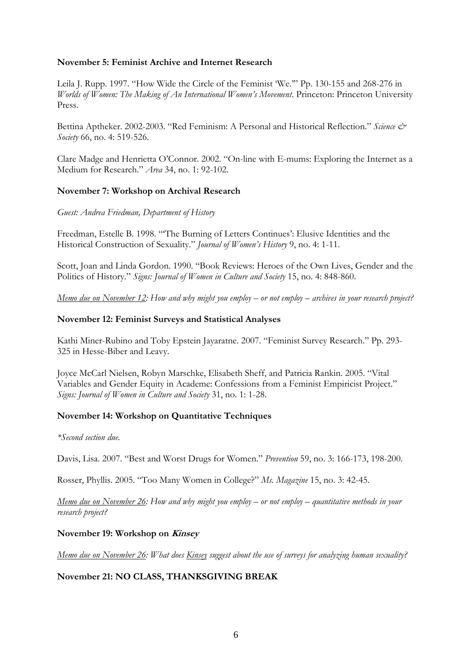### **November 5: Feminist Archive and Internet Research**

Leila J. Rupp. 1997. "How Wide the Circle of the Feminist 'We.'" Pp. 130-155 and 268-276 in *Worlds of Women: The Making of An International Women's Movement*. Princeton: Princeton University Press.

Bettina Aptheker. 2002-2003. "Red Feminism: A Personal and Historical Reflection." Science & *Society* 66, no. 4: 519-526.

Clare Madge and Henrietta O'Connor. 2002. "On-line with E-mums: Exploring the Internet as a Medium for Research." *Area* 34, no. 1: 92-102.

#### **November 7: Workshop on Archival Research**

#### *Guest: Andrea Friedman, Department of History*

Freedman, Estelle B. 1998. "'The Burning of Letters Continues': Elusive Identities and the Historical Construction of Sexuality." *Journal of Women's History* 9, no. 4: 1-11.

Scott, Joan and Linda Gordon. 1990. "Book Reviews: Heroes of the Own Lives, Gender and the Politics of History." *Signs: Journal of Women in Culture and Society* 15, no. 4: 848-860.

*Memo due on November 12: How and why might you employ – or not employ – archives in your research project?*

#### **November 12: Feminist Surveys and Statistical Analyses**

Kathi Miner-Rubino and Toby Epstein Jayaratne. 2007. "Feminist Survey Research." Pp. 293- 325 in Hesse-Biber and Leavy.

Joyce McCarl Nielsen, Robyn Marschke, Elisabeth Sheff, and Patricia Rankin. 2005. "Vital Variables and Gender Equity in Academe: Confessions from a Feminist Empiricist Project." *Signs: Journal of Women in Culture and Society* 31, no. 1: 1-28.

#### **November 14: Workshop on Quantitative Techniques**

#### *\*Second section due.*

Davis, Lisa. 2007. "Best and Worst Drugs for Women." *Prevention* 59, no. 3: 166-173, 198-200.

Rosser, Phyllis. 2005. "Too Many Women in College?" *Ms. Magazine* 15, no. 3: 42-45.

*Memo due on November 26: How and why might you employ – or not employ – quantitative methods in your research project?*

#### **November 19: Workshop on Kinsey**

*Memo due on November 26: What does Kinsey suggest about the use of surveys for analyzing human sexuality?*

#### **November 21: NO CLASS, THANKSGIVING BREAK**